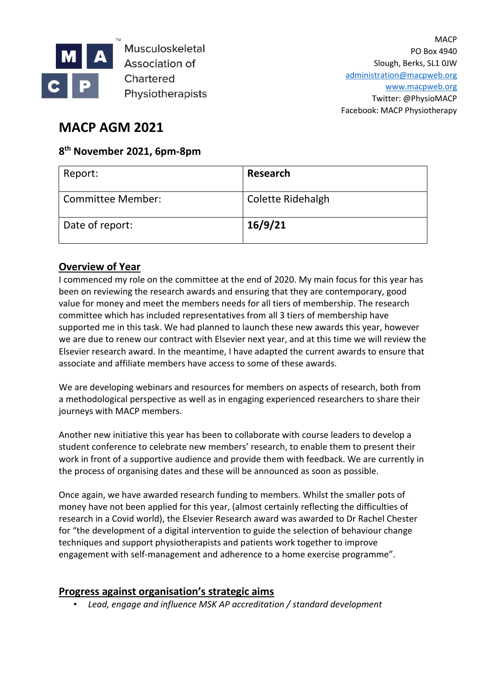

Musculoskeletal Association of Chartered Physiotherapists

**MACP** PO Box 4940 Slough, Berks, SL1 0JW [administration@macpweb.org](mailto:administration@macpweb.org) [www.macpweb.org](http://www.macpweb.org/) Twitter: @PhysioMACP Facebook: MACP Physiotherapy

# **MACP AGM 2021**

## **8 th November 2021, 6pm-8pm**

| Report:                  | Research          |
|--------------------------|-------------------|
| <b>Committee Member:</b> | Colette Ridehalgh |
| Date of report:          | 16/9/21           |

### **Overview of Year**

I commenced my role on the committee at the end of 2020. My main focus for this year has been on reviewing the research awards and ensuring that they are contemporary, good value for money and meet the members needs for all tiers of membership. The research committee which has included representatives from all 3 tiers of membership have supported me in this task. We had planned to launch these new awards this year, however we are due to renew our contract with Elsevier next year, and at this time we will review the Elsevier research award. In the meantime, I have adapted the current awards to ensure that associate and affiliate members have access to some of these awards.

We are developing webinars and resources for members on aspects of research, both from a methodological perspective as well as in engaging experienced researchers to share their journeys with MACP members.

Another new initiative this year has been to collaborate with course leaders to develop a student conference to celebrate new members' research, to enable them to present their work in front of a supportive audience and provide them with feedback. We are currently in the process of organising dates and these will be announced as soon as possible.

Once again, we have awarded research funding to members. Whilst the smaller pots of money have not been applied for this year, (almost certainly reflecting the difficulties of research in a Covid world), the Elsevier Research award was awarded to Dr Rachel Chester for "the development of a digital intervention to guide the selection of behaviour change techniques and support physiotherapists and patients work together to improve engagement with self-management and adherence to a home exercise programme".

#### **Progress against organisation's strategic aims**

• *Lead, engage and influence MSK AP accreditation / standard development*